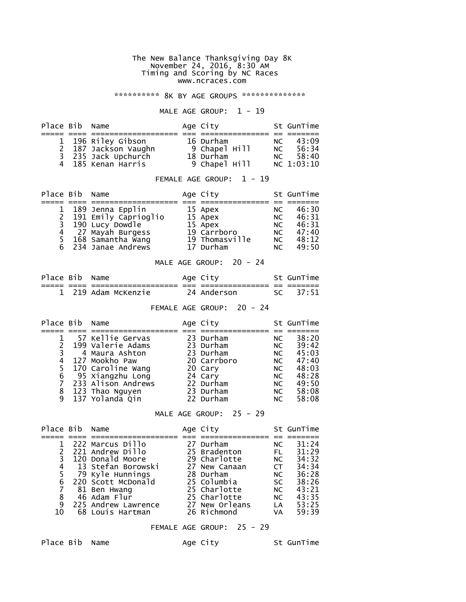#### The New Balance Thanksgiving Day 8K November 24, 2016, 8:30 AM Timing and Scoring by NC Races www.ncraces.com

\*\*\*\*\*\*\*\*\*\*\* 8K BY AGE GROUPS \*\*\*\*\*\*\*\*\*\*\*\*\*\*\*

#### MALE AGE GROUP:  $1 - 19$

| Place Bib Name |                      | Age City      |      | St GunTime |
|----------------|----------------------|---------------|------|------------|
|                |                      |               |      |            |
|                | 1 196 Riley Gibson   | 16 Durham     | NC.  | 43:09      |
|                | 2 187 Jackson Vaughn | 9 Chapel Hill | NC . | 56:34      |
|                | 3 235 Jack Upchurch  | 18 Durham     | NC   | 58:40      |
|                | 4 185 Kenan Harris   | 9 Chapel Hill |      | NC 1:03:10 |

#### FEMALE AGE GROUP: 1 - 19

| Place Bib Name |                      | Age City       |      | St GunTime |
|----------------|----------------------|----------------|------|------------|
|                |                      |                |      |            |
|                | 1 189 Jenna Epplin   | 15 Apex        | NC.  | 46:30      |
| 2              | 191 Emily Caprioglio | 15 Apex        | NC . | 46:31      |
|                | 3 190 Lucy Dowdle    | 15 Apex        | NC.  | 46:31      |
|                | 4 27 Mayah Burgess   | 19 Carrboro    | NC.  | 47:40      |
|                | 5 168 Samantha Wang  | 19 Thomasville | NC.  | 48:12      |
|                | 6 234 Janae Andrews  | 17 Durham      | NC   | 49:50      |

#### MALE AGE GROUP: 20 - 24

| Place Bib Name |                     |          | Age City    |           | St GunTime |
|----------------|---------------------|----------|-------------|-----------|------------|
| __             | _________           | --<br>-- | ----------  | __<br>___ | _______    |
|                | 1 219 Adam McKenzie |          | 24 Anderson |           | SC 37:51   |

### FEMALE AGE GROUP: 20 - 24

| Place Bib Name |                      | Age City    |           | St GunTime |
|----------------|----------------------|-------------|-----------|------------|
|                |                      |             |           |            |
|                | 57 Kellie Gervas     | 23 Durham   | NC.       | 38:20      |
|                | 199 Valerie Adams    | 23 Durham   | NC        | 39:42      |
|                | 4 Maura Ashton       | 23 Durham   | NC .      | 45:03      |
| 4              | 127 Mookho Paw       | 20 Carrboro | NC .      | 47:40      |
|                | 5 170 Caroline Wang  | 20 Cary     | NC .      | 48:03      |
| 6              | 95 Xiangzhu Long     | 24 Cary     | <b>NC</b> | 48:28      |
|                | 7 233 Alison Andrews | 22 Durham   | NC .      | 49:50      |
| 8              | 123 Thao Nguyen      | 23 Durham   | NC        | 58:08      |
|                | 9 137 Yolanda Qin    | 22 Durham   | NC.       | 58:08      |

### MALE AGE GROUP: 25 - 29

| Place Bib Name |                      | Age City       |           | St GunTime |
|----------------|----------------------|----------------|-----------|------------|
|                |                      |                |           |            |
|                | 222 Marcus Dillo     | 27 Durham      | NC.       | 31:24      |
|                | 221 Andrew Dillo     | 25 Bradenton   | FL.       | 31:29      |
|                | 120 Donald Moore     | 29 Charlotte   | NC        | 34:32      |
|                | 4 13 Stefan Borowski | 27 New Canaan  | CT.       | 34:34      |
|                | 79 Kyle Hunnings     | 28 Durham      | NC .      | 36:28      |
| 6              | 220 Scott McDonald   | 25 Columbia    | <b>SC</b> | 38:26      |
|                | 81 Ben Hwang         | 25 Charlotte   | <b>NC</b> | 43:21      |
| 8              | 46 Adam Flur         | 25 Charlotte   | NC .      | 43:35      |
| 9              | 225 Andrew Lawrence  | 27 New Orleans | <b>LA</b> | 53:25      |
| 10             | 68 Louis Hartman     | 26 Richmond    | <b>VA</b> | 59:39      |

# FEMALE AGE GROUP: 25 - 29

Place Bib Name Age City St GunTime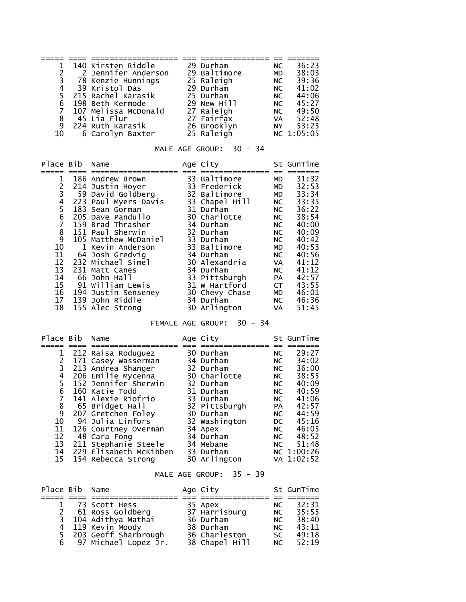|   | 1 140 Kirsten Riddle | 29 Durham    | NC.       | 36:23      |
|---|----------------------|--------------|-----------|------------|
|   | 2 Jennifer Anderson  | 29 Baltimore | MD        | 38:03      |
|   | 3 78 Kenzie Hunnings | 25 Raleigh   | NC 1      | 39:36      |
|   | 4 39 Kristol Das     | 29 Durham    | NC .      | 41:02      |
|   | 215 Rachel Karasik   | 25 Durham    | NC .      | 44:06      |
|   | 6 198 Beth Kermode   | 29 New Hill  | NC .      | 45:27      |
| 7 | 107 Melissa McDonald | 27 Raleigh   |           | NC 49:50   |
|   | 8 45 Lia Flur        | 27 Fairfax   | <b>VA</b> | 52:48      |
| 9 | 224 Ruth Karasik     | 26 Brooklyn  | NY NY     | 53:25      |
|   | 10 6 Carolyn Baxter  | 25 Raleigh   |           | NC 1:05:05 |

# MALE AGE GROUP: 30 - 34

| 31:32<br>33 Baltimore<br>1<br>186 Andrew Brown<br><b>MD</b><br>2<br>32:53<br>214 Justin Hoyer<br>33 Frederick<br>MD<br>3<br>59 David Goldberg<br>33:34<br>32 Baltimore<br><b>MD</b><br>4<br>223 Paul Myers-Davis<br>33:35<br>33 Chapel Hill<br>NC<br>5<br>36:22<br>31 Durham<br>183 Sean Gorman<br>NC                         |                                     | Place Bib                                               | Name | Age City | St GunTime                                                           |
|-------------------------------------------------------------------------------------------------------------------------------------------------------------------------------------------------------------------------------------------------------------------------------------------------------------------------------|-------------------------------------|---------------------------------------------------------|------|----------|----------------------------------------------------------------------|
| 205 Dave Pandullo<br>30 Charlotte<br>NC<br>7<br>34 Durham<br>40:00<br>159 Brad Thrasher<br>NC                                                                                                                                                                                                                                 |                                     | 6<br>$\frac{8}{9}$<br>10<br>11<br>12 <sup>2</sup><br>13 |      |          | 38:54<br>40:09<br>40:42<br>40:53<br>40:56<br>41:12<br>41:12<br>42:57 |
| 105 Matthew McDaniel<br>33 Durham<br>NC<br>33 Baltimore<br>1 Kevin Anderson<br>MD<br>64 Josh Gredvig<br>34 Durham<br>NC<br>232 Michael Simel<br>30 Alexandria<br>VA<br>34 Durham<br>231 Matt Canes<br>NC<br>14<br>33 Pittsburgh<br>66 John Hall<br><b>PA</b><br>91 William Lewis<br>15<br>31 W Hartford<br>43:55<br><b>CT</b> | 151 Paul Sherwin<br>32 Durham<br>NC |                                                         |      |          |                                                                      |
|                                                                                                                                                                                                                                                                                                                               |                                     |                                                         |      |          |                                                                      |
|                                                                                                                                                                                                                                                                                                                               |                                     |                                                         |      |          |                                                                      |
|                                                                                                                                                                                                                                                                                                                               |                                     |                                                         |      |          |                                                                      |

# FEMALE AGE GROUP: 30 - 34

| Place Bib Name |                        | Age City      |                                                                                                                                                                                                                                | St GunTime |
|----------------|------------------------|---------------|--------------------------------------------------------------------------------------------------------------------------------------------------------------------------------------------------------------------------------|------------|
|                |                        |               |                                                                                                                                                                                                                                |            |
|                | 212 Raisa Roduguez     | 30 Durham     | NC.                                                                                                                                                                                                                            | 29:27      |
|                | 171 Casey Wasserman    | 34 Durham     | NC                                                                                                                                                                                                                             | 34:02      |
| 3              | 213 Andrea Shanger     | 32 Durham     | NC.                                                                                                                                                                                                                            | 36:00      |
| 4              | 206 Emilie Mycenna     | 30 Charlotte  | NC                                                                                                                                                                                                                             | 38:55      |
| 5              | 152 Jennifer Sherwin   | 32 Durham     | NC                                                                                                                                                                                                                             | 40:09      |
| 6              | 160 Katie Todd         | 31 Durham     | NC.                                                                                                                                                                                                                            | 40:59      |
|                | 141 Alexie Riofrio     | 33 Durham     | NC.                                                                                                                                                                                                                            | 41:06      |
| 8<br>9         | 65 Bridget Hall        | 32 Pittsburgh | <b>PA</b>                                                                                                                                                                                                                      | 42:57      |
|                | 207 Gretchen Foley     | 30 Durham     | NC                                                                                                                                                                                                                             | 44:59      |
| 10             | 94 Julia Linfors       | 32 Washington | DC and the post of the set of the set of the set of the set of the set of the set of the set of the set of the set of the set of the set of the set of the set of the set of the set of the set of the set of the set of the s | 45:16      |
| 11             | 126 Courtney Overman   | 34 Apex       | NC                                                                                                                                                                                                                             | 46:05      |
| 12             | 48 Cara Fong           | 34 Durham     | NC                                                                                                                                                                                                                             | 48:52      |
| 13             | 211 Stephanie Steele   | 34 Mebane     | NC                                                                                                                                                                                                                             | 51:48      |
| 14             | 229 Elisabeth McKibben | 33 Durham     |                                                                                                                                                                                                                                | NC 1:00:26 |
| 15             | 154 Rebecca Strong     | 30 Arlington  |                                                                                                                                                                                                                                | VA 1:02:52 |

# MALE AGE GROUP: 35 - 39

| Place Bib Name |                        | Age City       |      | St GunTime |
|----------------|------------------------|----------------|------|------------|
|                |                        |                |      |            |
|                | 1 73 Scott Hess        | 35 Apex        | NC.  | 32:31      |
|                | 2 61 Ross Goldberg     | 37 Harrisburg  | NC . | 35:55      |
|                | 3 104 Adithya Mathai   | 36 Durham      | NC   | 38:40      |
|                | 4 119 Kevin Moody      | 38 Durham      | NC   | 43:11      |
|                | 5 203 Geoff Sharbrough | 36 Charleston  | SC.  | 49:18      |
|                | 6 97 Michael Lopez Jr. | 38 Chapel Hill | NC   | 52:19      |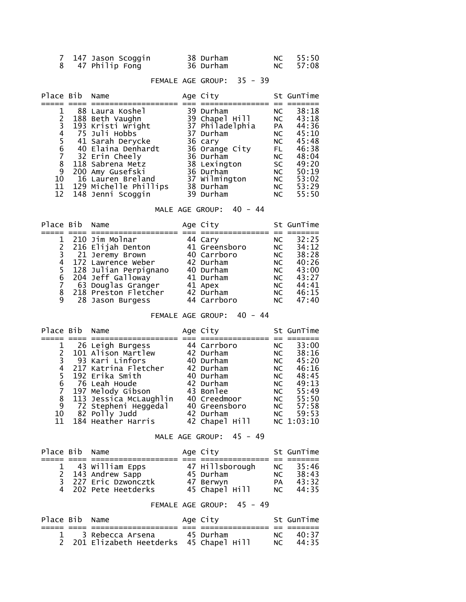| 7 147 Jason Scoggin | 38 Durham | NC 55:50 |
|---------------------|-----------|----------|
| 8 47 Philip Fong    | 36 Durham | NC 57:08 |

# FEMALE AGE GROUP: 35 - 39

| Place Bib Name |                       | Age City        |           | St GunTime |
|----------------|-----------------------|-----------------|-----------|------------|
|                |                       |                 |           |            |
|                | 88 Laura Koshel       | 39 Durham       | NC        | 38:18      |
|                | 188 Beth Vaughn       | 39 Chapel Hill  |           | NC 43:18   |
| 3              | 193 Kristi Wright     | 37 Philadelphia | <b>PA</b> | 44:36      |
| 4              | 75 Juli Hobbs         | 37 Durham       | NC        | 45:10      |
| 5.             | 41 Sarah Derycke      | 36 cary         | NC        | 45:48      |
| 6              | 40 Elaina Denhardt    | 36 Orange City  | FL.       | 46:38      |
|                | 32 Erin Cheely        | 36 Durham       | NC        | 48:04      |
| 8              | 118 Sabrena Metz      | 38 Lexington    | <b>SC</b> | 49:20      |
| 9              | 200 Amy Gusefski      | 36 Durham       | NC        | 50:19      |
| 10             | 16 Lauren Breland     | 37 Wilmington   | NC        | 53:02      |
| 11             | 129 Michelle Phillips | 38 Durham       | NC        | 53:29      |
| 12             | 148 Jenni Scoggin     | 39 Durham       | NC.       | 55:50      |

# MALE AGE GROUP: 40 - 44

| Place Bib Name |                                                | Age City      |      | St GunTime |
|----------------|------------------------------------------------|---------------|------|------------|
|                |                                                |               |      |            |
|                | 210 Jim Molnar                                 | 44 Cary       | NC.  | 32:25      |
|                | 2 216 Elijah Denton                            | 41 Greensboro | NC   | 34:12      |
|                | 3 21 Jeremy Brown                              | 40 Carrboro   | NC . | 38:28      |
|                | 4 172 Lawrence Weber                           | 42 Durham     | NC . | 40:26      |
|                | 5 128 Julian Perpignano                        | 40 Durham     | NC.  | 43:00      |
|                | 6 204 Jeff Galloway                            | 41 Durham     | NC.  | 43:27      |
|                | 7 63 Douglas Granger<br>8 218 Preston Fletcher | 41 Apex       | NC . | 44:41      |
|                |                                                | 42 Durham     | NC   | 46:15      |
| 9              | 28 Jason Burgess                               | 44 Carrboro   | NC.  | 47:40      |

# FEMALE AGE GROUP: 40 - 44

| Place Bib Name |                        | Age City       |      | St GunTime |
|----------------|------------------------|----------------|------|------------|
|                |                        |                |      |            |
|                | 26 Leigh Burgess       | 44 Carrboro    | NC . | 33:00      |
|                | 101 Alison Martlew     | 42 Durham      | NC   | 38:16      |
|                | 3 93 Kari Linfors      | 40 Durham      | NC   | 45:20      |
| 4              | 217 Katrina Fletcher   | 42 Durham      | NC . | 46:16      |
|                | 192 Erika Smith        | 40 Durham      | NC . | 48:45      |
| 6              | 76 Leah Houde          | 42 Durham      | NC . | 49:13      |
|                | 197 Melody Gibson      | 43 Bonlee      | NC   | 55:49      |
| 8              | 113 Jessica McLaughlin | 40 Creedmoor   | NC   | 55:50      |
| 9              | 72 Stepheni Heggedal   | 40 Greensboro  | NC   | 57:58      |
|                | 10 82 Polly Judd       | 42 Durham      | NC   | 59:53      |
| 11             | 184 Heather Harris     | 42 Chapel Hill |      | NC 1:03:10 |

# MALE AGE GROUP: 45 - 49

| Place Bib Name |                      | Age City        |     | St GunTime |
|----------------|----------------------|-----------------|-----|------------|
|                |                      |                 |     |            |
|                | 1 43 William Epps    | 47 Hillsborough | NC. | 35:46      |
|                | 2 143 Andrew Sapp    | 45 Durham       | NC  | 38:43      |
|                | 3 227 Eric Dzwoncztk | 47 Berwyn       | PA  | 43:32      |
|                | 4 202 Pete Heetderks | 45 Chapel Hill  | NC  | 44:35      |

### FEMALE AGE GROUP: 45 - 49

| Place Bib Name |                                          | Age City  |    | St GunTime |
|----------------|------------------------------------------|-----------|----|------------|
|                |                                          |           |    |            |
|                | 1 3 Rebecca Arsena                       | 45 Durham |    | NC 40:37   |
|                | 2 201 Elizabeth Heetderks 45 Chapel Hill |           | NC | 44:35      |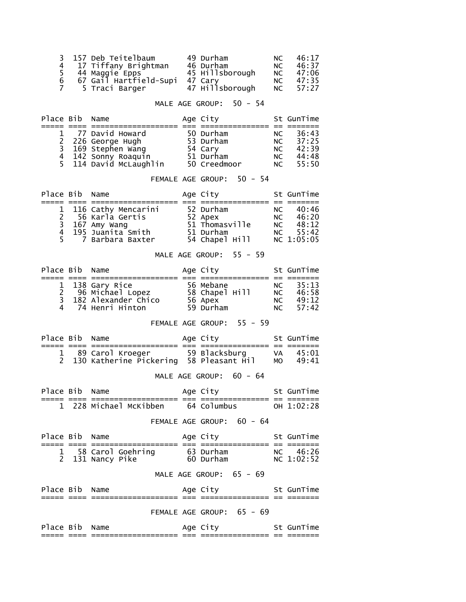| 3 157 Deb Teitelbaum                         | 49 Durham       | NC 1 | 46:17 |
|----------------------------------------------|-----------------|------|-------|
| 4 17 Tiffany Brightman                       | 46 Durham       | NC.  | 46:37 |
| 5 44 Maggie Epps<br>6 67 Gail Hartfield-Supi | 45 Hillsborough | NC . | 47:06 |
|                                              | 47 Carv         | NC . | 47:35 |
| 5 Traci Barger                               | 47 Hillsborough | NC 1 | 57:27 |

### MALE AGE GROUP: 50 - 54

| Place Bib Name |                                           | Age City     |     | St GunTime |
|----------------|-------------------------------------------|--------------|-----|------------|
|                |                                           |              |     |            |
|                | 1 77 David Howard                         | 50 Durham    | NC. | 36:43      |
|                | 2 226 George Hugh                         | 53 Durham    | NC  | 37:25      |
|                | 3 169 Stephen wang<br>4 142 Sonny Roaquin | 54 Cary      | NC. | 42:39      |
|                |                                           | 51 Durham    | NC  | 44:48      |
|                | 5 114 David McLaughlin                    | 50 Creedmoor | NC  | 55:50      |

# FEMALE AGE GROUP: 50 - 54

| Place Bib Name |                       | Age City       |    | St GunTime |
|----------------|-----------------------|----------------|----|------------|
|                |                       |                |    |            |
|                | 1 116 Cathy Mencarini | 52 Durham      | NC | - 40:46    |
|                | 2 56 Karla Gertis     | 52 Apex        | NC | 46:20      |
|                | 3 167 Amy Wang        | 51 Thomasville |    | NC $48:12$ |
|                | 4 195 Juanita Smith   | 51 Durham      |    | NC $55:42$ |
|                | 5 7 Barbara Baxter    | 54 Chapel Hill |    | NC 1:05:05 |

# MALE AGE GROUP: 55 - 59

| Place Bib Name |                                       | Age City       |           | St GunTime |
|----------------|---------------------------------------|----------------|-----------|------------|
|                |                                       |                |           |            |
|                | 1 138 Gary Rice<br>2 96 Michael Lopez | 56 Mebane      | NC        | 35:13      |
|                |                                       | 58 Chapel Hill | <b>NC</b> | 46:58      |
|                | 3 182 Alexander Chico                 | 56 Apex        | NC .      | 49:12      |
|                | 4 74 Henri Hinton                     | 59 Durham      |           | NC $57:42$ |

FEMALE AGE GROUP: 55 - 59

| Place Bib Name |  | Age City | St GunTime           |
|----------------|--|----------|----------------------|
|                |  |          |                      |
|                |  |          | VA 45:01<br>MO 49:41 |

# MALE AGE GROUP: 60 - 64

| Place Bib Name |                        | Age City    | St GunTime   |
|----------------|------------------------|-------------|--------------|
|                | 1 228 Michael McKibben | 64 Columbus | $OH$ 1:02:28 |

# FEMALE AGE GROUP: 60 - 64

| Place Bib Name |                                         |                         | Age City               |  | St GunTime             |
|----------------|-----------------------------------------|-------------------------|------------------------|--|------------------------|
|                | 1 58 Carol Goehring<br>2 131 Nancy Pike |                         | 63 Durham<br>60 Durham |  | NC 46:26<br>NC 1:02:52 |
|                |                                         | MALE AGE GROUP: 65 - 69 |                        |  |                        |

| Place Bib Name |  | Age City                  | St GunTime |
|----------------|--|---------------------------|------------|
|                |  |                           |            |
|                |  | FEMALE AGE GROUP: 65 - 69 |            |
| Place Bib Name |  | Age City                  | St GunTime |
|                |  |                           |            |